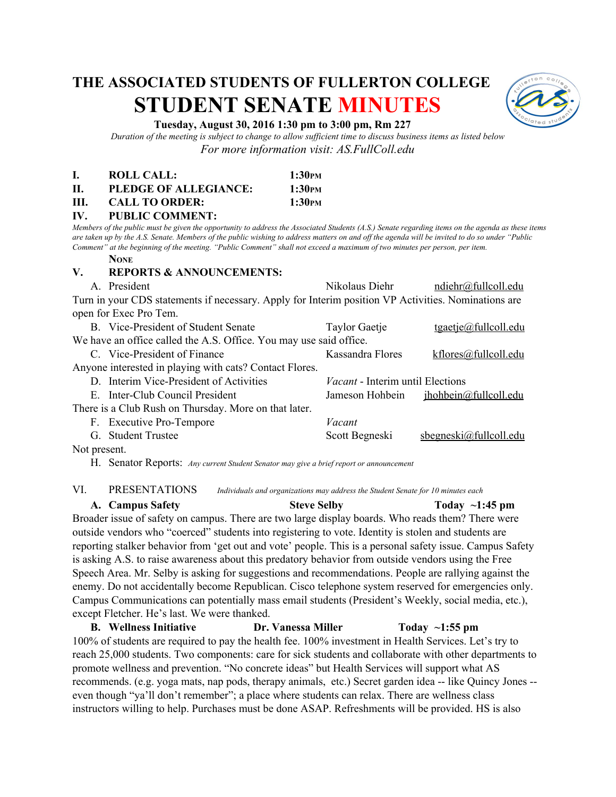# **THE ASSOCIATED STUDENTS OF FULLERTON COLLEGE STUDENT SENATE MINUTES**



## **Tuesday, August 30, 2016 1:30 pm to 3:00 pm, Rm 227**

*Duration of the meeting is subject to change to allow sufficient time to discuss business items as listed below For more information visit: AS.FullColl.edu*

|      | ROLL CALL:            | 1:30 <sub>PM</sub> |
|------|-----------------------|--------------------|
| Н.   | PLEDGE OF ALLEGIANCE: | 1:30 <sub>PM</sub> |
| III. | <b>CALL TO ORDER:</b> | 1:30 <sub>PM</sub> |

**IV. PUBLIC COMMENT:**

*Members of the public must be given the opportunity to address the Associated Students (A.S.) Senate regarding items on the agenda as these items are taken up by the A.S. Senate. Members of the public wishing to address matters on and off the agenda will be invited to do so under "Public Comment" at the beginning of the meeting. "Public Comment" shall not exceed a maximum of two minutes per person, per item.*

#### **NONE**

## **V. REPORTS & ANNOUNCEMENTS:**

| A. President                                                                                        | Nikolaus Diehr                          | ndiehr@fullcoll.edu           |  |
|-----------------------------------------------------------------------------------------------------|-----------------------------------------|-------------------------------|--|
| Turn in your CDS statements if necessary. Apply for Interim position VP Activities. Nominations are |                                         |                               |  |
| open for Exec Pro Tem.                                                                              |                                         |                               |  |
| B. Vice-President of Student Senate                                                                 | <b>Taylor Gaetje</b>                    | $t$ gaetje@fullcoll.edu       |  |
| We have an office called the A.S. Office. You may use said office.                                  |                                         |                               |  |
| C Vice-President of Finance                                                                         | Kassandra Flores                        | $k$ flores@fullcoll.edu       |  |
| Anyone interested in playing with cats? Contact Flores.                                             |                                         |                               |  |
| D Interim Vice-President of Activities                                                              | <i>Vacant</i> - Interim until Elections |                               |  |
| E. Inter-Club Council President                                                                     | Jameson Hohbein                         | ihoblein@full coll.edu        |  |
| There is a Club Rush on Thursday. More on that later.                                               |                                         |                               |  |
| F. Executive Pro-Tempore                                                                            | Vacant                                  |                               |  |
| G. Student Trustee                                                                                  | Scott Begneski                          | $s$ begneski $@$ fullcoll.edu |  |
| $\mathbf{M}$ of the set of $\mathbf{M}$                                                             |                                         |                               |  |

Not present.

H. Senator Reports: *Any current Student Senator may give a brief report or announcement*

# VI. PRESENTATIONS *Individuals and organizations may address the Student Senate for 10 minutes each*

# **A. Campus Safety Steve Selby Today ~1:45 pm**

Broader issue of safety on campus. There are two large display boards. Who reads them? There were outside vendors who "coerced" students into registering to vote. Identity is stolen and students are reporting stalker behavior from 'get out and vote' people. This is a personal safety issue. Campus Safety is asking A.S. to raise awareness about this predatory behavior from outside vendors using the Free Speech Area. Mr. Selby is asking for suggestions and recommendations. People are rallying against the enemy. Do not accidentally become Republican. Cisco telephone system reserved for emergencies only. Campus Communications can potentially mass email students (President's Weekly, social media, etc.), except Fletcher. He's last. We were thanked.

**B. Wellness Initiative Dr. Vanessa Miller Today ~1:55 pm** 100% of students are required to pay the health fee. 100% investment in Health Services. Let's try to reach 25,000 students. Two components: care for sick students and collaborate with other departments to promote wellness and prevention. "No concrete ideas" but Health Services will support what AS recommends. (e.g. yoga mats, nap pods, therapy animals, etc.) Secret garden idea -- like Quincy Jones -even though "ya'll don't remember"; a place where students can relax. There are wellness class instructors willing to help. Purchases must be done ASAP. Refreshments will be provided. HS is also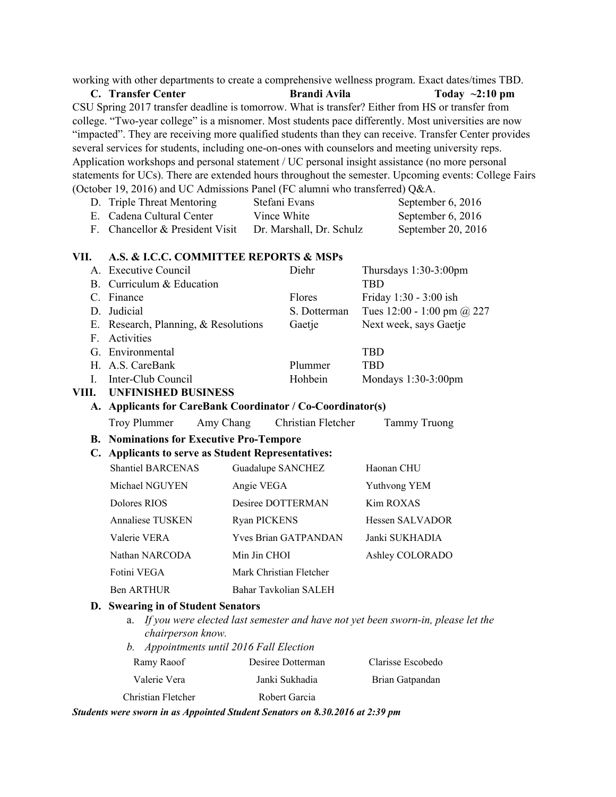working with other departments to create a comprehensive wellness program. Exact dates/times TBD.

**C. Transfer Center Brandi Avila Today ~2:10 pm** CSU Spring 2017 transfer deadline is tomorrow. What is transfer? Either from HS or transfer from college. "Two-year college" is a misnomer. Most students pace differently. Most universities are now "impacted". They are receiving more qualified students than they can receive. Transfer Center provides several services for students, including one-on-ones with counselors and meeting university reps. Application workshops and personal statement / UC personal insight assistance (no more personal statements for UCs). There are extended hours throughout the semester. Upcoming events: College Fairs (October 19, 2016) and UC Admissions Panel (FC alumni who transferred) Q&A.

| D. Triple Threat Mentoring      | Stefani Evans            | September 6, 2016   |
|---------------------------------|--------------------------|---------------------|
| E. Cadena Cultural Center       | Vince White              | September $6, 2016$ |
| F. Chancellor & President Visit | Dr. Marshall, Dr. Schulz | September 20, 2016  |
|                                 |                          |                     |

# **VII. A.S. & I.C.C. COMMITTEE REPORTS & MSPs**

|    | A. Executive Council                 | Diehr         | Thursdays $1:30-3:00$ pm   |
|----|--------------------------------------|---------------|----------------------------|
|    | B. Curriculum & Education            |               | TBD                        |
|    | Finance                              | <b>Flores</b> | Friday 1:30 - 3:00 ish     |
|    | D. Judicial                          | S. Dotterman  | Tues 12:00 - 1:00 pm @ 227 |
|    | E. Research, Planning, & Resolutions | Gaetje        | Next week, says Gaetje     |
| F. | Activities                           |               |                            |
|    | G. Environmental                     |               | TBD                        |
|    | H. A.S. CareBank                     | Plummer       | TBD                        |
|    | Inter-Club Council                   | Hohbein       | Mondays $1:30-3:00$ pm     |
|    |                                      |               |                            |

#### **VIII. UNFINISHED BUSINESS**

# A. **Applicants for CareBank Coordinator / Co-Coordinator(s)**

Troy Plummer Amy Chang Christian Fletcher Tammy Truong

**B.** Nominations for Executive Pro-Tempore

#### **C. Applicants to serve as Student Representatives:**

| <b>Shantiel BARCENAS</b> | Guadalupe SANCHEZ           | Haonan CHU             |
|--------------------------|-----------------------------|------------------------|
| Michael NGUYEN           | Angie VEGA                  | Yuthvong YEM           |
| Dolores RIOS             | Desiree DOTTERMAN           | Kim ROXAS              |
| <b>Annaliese TUSKEN</b>  | <b>Ryan PICKENS</b>         | <b>Hessen SALVADOR</b> |
| Valerie VERA             | <b>Yves Brian GATPANDAN</b> | Janki SUKHADIA         |
| Nathan NARCODA           | Min Jin CHOI                | Ashley COLORADO        |
| Fotini VEGA              | Mark Christian Fletcher     |                        |
| Ben ARTHUR               | Bahar Tavkolian SALEH       |                        |

#### **D. Swearing in of Student Senators**

- a. If you were elected last semester and have not yet been sworn-in, please let the *chairperson know.*
- *b. Appointments until 2016 Fall Election*

| Ramy Raoof         | Desiree Dotterman | Clarisse Escobedo |
|--------------------|-------------------|-------------------|
| Valerie Vera       | Janki Sukhadia    | Brian Gatpandan   |
| Christian Fletcher | Robert Garcia     |                   |

*Students were sworn in as Appointed Student Senators on 8.30.2016 at 2:39 pm*